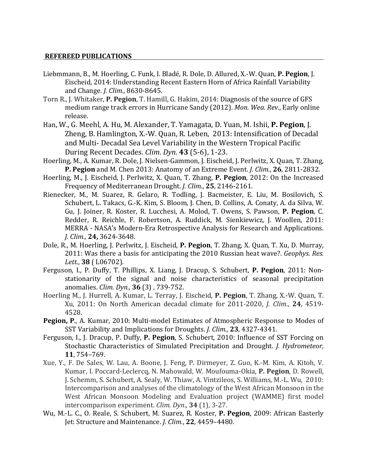## **REFEREED PUBLICATIONS**

- Liebmmann, B., M. Hoerling, C. Funk, I. Bladé, R. Dole, D. Allured, X.-W. Quan, P. Pegion, J. Eischeid, 2014: Understanding Recent Eastern Horn of Africa Rainfall Variability and Change. *J. Clim.*, 8630-8645.
- Torn R., J. Whitaker, P. Pegion, T. Hamill, G. Hakim, 2014: Diagnosis of the source of GFS medium range track errors in Hurricane Sandy (2012). Mon. Wea. Rev., Early online release.
- Han, W., G. Meehl, A. Hu, M. Alexander, T. Yamagata, D. Yuan, M. Ishii, P. Pegion, J. Zheng, B. Hamlington, X.-W. Quan, R. Leben, 2013: Intensification of Decadal and Multi- Decadal Sea Level Variability in the Western Tropical Pacific During Recent Decades. *Clim. Dyn.* **43** (5-6), 1-23.
- Hoerling, M., A. Kumar, R. Dole, J. Nielsen-Gammon, J. Eischeid, J. Perlwitz, X. Quan, T. Zhang, **P. Pegion** and M. Chen 2013: Anatomy of an Extreme Event. *J. Clim.*, **26**, 2811-2832.
- Hoerling, M., J. Eischeid, J. Perlwitz, X. Quan, T. Zhang, P. Pegion, 2012: On the Increased Frequency of Mediterranean Drought. *J. Clim.*, **25**, 2146-2161.
- Rienecker, M., M. Suarez, R. Gelaro, R. Todling, J. Bacmeister, E. Liu, M. Bosilovich, S. Schubert, L. Takacs, G.-K. Kim, S. Bloom, J. Chen, D. Collins, A. Conaty, A. da Silva, W. Gu, J. Joiner, R. Koster, R. Lucchesi, A. Molod, T. Owens, S. Pawson, P. Pegion, C. Redder, R. Reichle, F. Robertson, A. Ruddick, M. Sienkiewicz, J. Woollen, 2011: MERRA - NASA's Modern-Era Retrospective Analysis for Research and Applications. *J. Clim.,* **24,** 3624-3648.
- Dole, R., M. Hoerling, J. Perlwitz, J. Eischeid, **P. Pegion**, T. Zhang, X. Quan, T. Xu, D. Murray, 2011: Was there a basis for anticipating the 2010 Russian heat wave?. *Geophys. Res. Lett.*, **38** ( L06702).
- Ferguson, I., P. Duffy, T. Phillips, X. Liang, J. Dracup, S. Schubert, P. Pegion, 2011: Nonstationarity of the signal and noise characteristics of seasonal precipitation anomalies. *Clim. Dyn.*, **36** (3) , 739-752.
- Hoerling M., J. Hurrell, A. Kumar, L. Terray, J. Eischeid, P. Pegion, T. Zhang, X.-W. Quan, T. Xu, 2011: On North American decadal climate for 2011-2020, *J. Clim.*, **24**, 4519-4528.
- **Pegion, P., A. Kumar, 2010: Multi-model Estimates of Atmospheric Response to Modes of** SST Variability and Implications for Droughts. *J. Clim.*, **23**, 4327-4341.
- Ferguson, I., J. Dracup, P. Duffy, P. Pegion, S. Schubert, 2010: Influence of SST Forcing on Stochastic Characteristics of Simulated Precipitation and Drought. *J. Hydrometeor*, **11**, 754–769.
- Xue, Y., F. De Sales, W. Lau, A. Boone, J. Feng, P. Dirmeyer, Z. Guo, K.-M. Kim, A. Kitoh, V. Kumar, I. Poccard-Leclercq, N. Mahowald, W. Moufouma-Okia, P. Pegion, D. Rowell, J. Schemm, S. Schubert, A. Sealy, W. Thiaw, A. Vintzileos, S. Williams, M.-L. Wu, 2010: Intercomparison and analyses of the climatology of the West African Monsoon in the West African Monsoon Modeling and Evaluation project (WAMME) first model intercomparison experiment. *Clim.* Dyn., 34 (1), 3-27.
- Wu, M.-L. C., O. Reale, S. Schubert, M. Suarez, R. Koster, P. Pegion, 2009: African Easterly Iet: Structure and Maintenance. *J. Clim.*, 22, 4459-4480.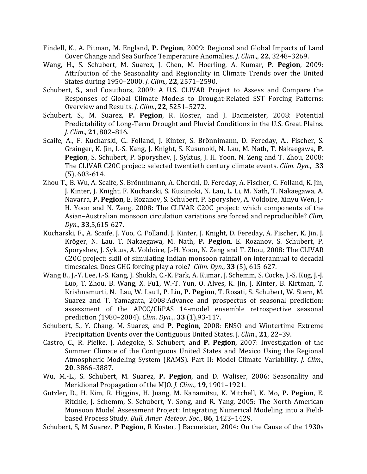- Findell, K., A. Pitman, M. England, P. Pegion, 2009: Regional and Global Impacts of Land Cover Change and Sea Surface Temperature Anomalies. *J. Clim.*,, **22**, 3248–3269.
- Wang, H., S. Schubert, M. Suarez, J. Chen, M. Hoerling, A. Kumar, P. Pegion, 2009: Attribution of the Seasonality and Regionality in Climate Trends over the United States during 1950–2000. *J. Clim.*, **22**, 2571–2590.
- Schubert, S., and Coauthors, 2009: A U.S. CLIVAR Project to Assess and Compare the Responses of Global Climate Models to Drought-Related SST Forcing Patterns: Overview and Results. *J. Clim.*, **22**, 5251–5272.
- Schubert, S., M. Suarez, P. Pegion, R. Koster, and J. Bacmeister, 2008: Potential Predictability of Long-Term Drought and Pluvial Conditions in the U.S. Great Plains. *J. Clim*., **21**, 802–816.
- Scaife, A., F. Kucharski, C.. Folland, J. Kinter, S. Brönnimann, D. Fereday, A.. Fischer, S. Grainger, K. Jin, I.-S. Kang, J. Knight, S. Kusunoki, N. Lau, M. Nath, T. Nakaegawa, P. **Pegion**, S. Schubert, P. Sporyshev, J. Syktus, J. H. Yoon, N. Zeng and T. Zhou, 2008: The CLIVAR C20C project: selected twentieth century climate events. *Clim. Dyn.*, 33  $(5)$ , 603-614.
- Zhou T., B. Wu, A. Scaife, S. Brönnimann, A. Cherchi, D. Fereday, A. Fischer, C. Folland, K. Jin, J. Kinter, J. Knight, F. Kucharski, S. Kusunoki, N. Lau, L. Li, M. Nath, T. Nakaegawa, A. Navarra, P. Pegion, E. Rozanov, S. Schubert, P. Sporyshev, A. Voldoire, Xinyu Wen, J.-H. Yoon and N. Zeng, 2008: The CLIVAR C20C project: which components of the Asian-Australian monsoon circulation variations are forced and reproducible? *Clim*, *Dyn.,* **33**,5,615-627.
- Kucharski, F., A. Scaife, J. Yoo, C. Folland, J. Kinter, J. Knight, D. Fereday, A. Fischer, K. Jin, J. Kröger, N. Lau, T. Nakaegawa, M. Nath, P. Pegion, E. Rozanov, S. Schubert, P. Sporyshev, J. Syktus, A. Voldoire, J.-H. Yoon, N. Zeng and T. Zhou, 2008: The CLIVAR C20C project: skill of simulating Indian monsoon rainfall on interannual to decadal timescales. Does GHG forcing play a role? *Clim. Dyn.*, 33 (5), 615-627.
- Wang B., J.-Y. Lee, I.-S. Kang, J. Shukla, C.-K. Park, A. Kumar, J. Schemm, S. Cocke, J.-S. Kug, J.-J. Luo, T. Zhou, B. Wang, X. Fu1, W.-T. Yun, O. Alves, K. Jin, J. Kinter, B. Kirtman, T. Krishnamurti, N. Lau, W. Lau1, P. Liu, P. Pegion, T. Rosati, S. Schubert, W. Stern, M. Suarez and T. Yamagata, 2008:Advance and prospectus of seasonal prediction: assessment of the APCC/CliPAS 14-model ensemble retrospective seasonal prediction (1980–2004). *Clim. Dyn.*,. **33** (1),93-117.
- Schubert, S., Y. Chang, M. Suarez, and P. Pegion, 2008: ENSO and Wintertime Extreme Precipitation Events over the Contiguous United States. J. Clim., 21, 22–39.
- Castro, C., R. Pielke, J. Adegoke, S. Schubert, and P. Pegion, 2007: Investigation of the Summer Climate of the Contiguous United States and Mexico Using the Regional Atmospheric Modeling System (RAMS). Part II: Model Climate Variability. *J. Clim.*, **20**, 3866–3887.
- Wu, M.-L., S. Schubert, M. Suarez, P. Pegion, and D. Waliser, 2006: Seasonality and Meridional Propagation of the MJO. *J. Clim.*, **19**, 1901–1921.
- Gutzler, D., H. Kim, R. Higgins, H. Juang, M. Kanamitsu, K. Mitchell, K. Mo, P. Pegion, E. Ritchie, J. Schemm, S. Schubert, Y. Song, and R. Yang, 2005: The North American Monsoon Model Assessment Project: Integrating Numerical Modeling into a Fieldbased Process Study. *Bull. Amer. Meteor. Soc.*, **86**, 1423-1429.
- Schubert, S, M Suarez, P Pegion, R Koster, J Bacmeister, 2004: On the Cause of the 1930s